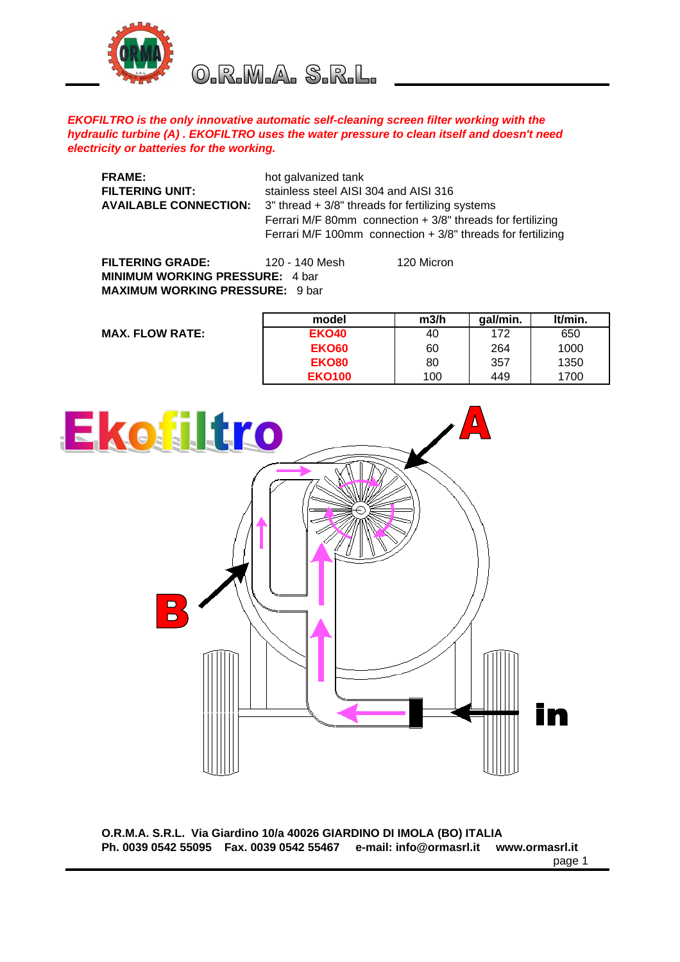

O.R.M.A. S.R.L.

## *EKOFILTRO is the only innovative automatic self-cleaning screen filter working with the hydraulic turbine (A) . EKOFILTRO uses the water pressure to clean itself and doesn't need electricity or batteries for the working.*

| <b>FRAME:</b><br>FILTERING UNIT:<br><b>AVAILABLE CONNECTION:</b> | hot galvanized tank<br>stainless steel AISI 304 and AISI 316<br>3" thread + 3/8" threads for fertilizing systems<br>Ferrari M/F 80mm connection $+3/8$ " threads for fertilizing<br>Ferrari M/F 100mm connection $+3/8$ " threads for fertilizing |            |
|------------------------------------------------------------------|---------------------------------------------------------------------------------------------------------------------------------------------------------------------------------------------------------------------------------------------------|------------|
| <b>FILTERING GRADE:</b>                                          | 120 - 140 Mesh                                                                                                                                                                                                                                    | 120 Micron |

**MINIMUM WORKING PRESSURE:** 4 bar **MAXIMUM WORKING PRESSURE:** 9 bar

|                        | model         | m3/h | gal/min. | It/min. |
|------------------------|---------------|------|----------|---------|
| <b>MAX. FLOW RATE:</b> | <b>EKO40</b>  | 40   | 172      | 650     |
|                        | EKO60         | 60   | 264      | 1000    |
|                        | <b>EKO80</b>  | 80   | 357      | 1350    |
|                        | <b>EKO100</b> | 100  | 449      | 1700    |



**O.R.M.A. S.R.L. Via Giardino 10/a 40026 GIARDINO DI IMOLA (BO) ITALIA Ph. 0039 0542 55095 Fax. 0039 0542 55467 e-mail: info@ormasrl.it www.ormasrl.it**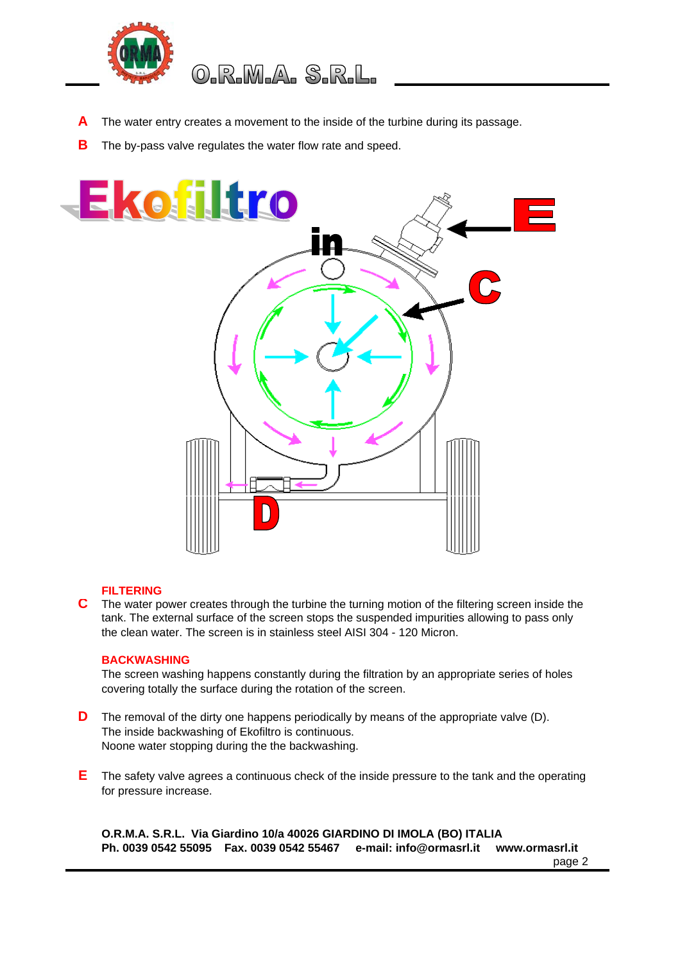

## 0.R.M.A. S.R.L.

- **A** The water entry creates a movement to the inside of the turbine during its passage.
- **B** The by-pass valve regulates the water flow rate and speed.



## **FILTERING**

**C** The water power creates through the turbine the turning motion of the filtering screen inside the tank. The external surface of the screen stops the suspended impurities allowing to pass only the clean water. The screen is in stainless steel AISI 304 - 120 Micron.

## **BACKWASHING**

The screen washing happens constantly during the filtration by an appropriate series of holes covering totally the surface during the rotation of the screen.

- **D** The removal of the dirty one happens periodically by means of the appropriate valve (D). The inside backwashing of Ekofiltro is continuous. Noone water stopping during the the backwashing.
- **E** The safety valve agrees a continuous check of the inside pressure to the tank and the operating for pressure increase.

**O.R.M.A. S.R.L. Via Giardino 10/a 40026 GIARDINO DI IMOLA (BO) ITALIA Ph. 0039 0542 55095 Fax. 0039 0542 55467 e-mail: info@ormasrl.it www.ormasrl.it**

page 2